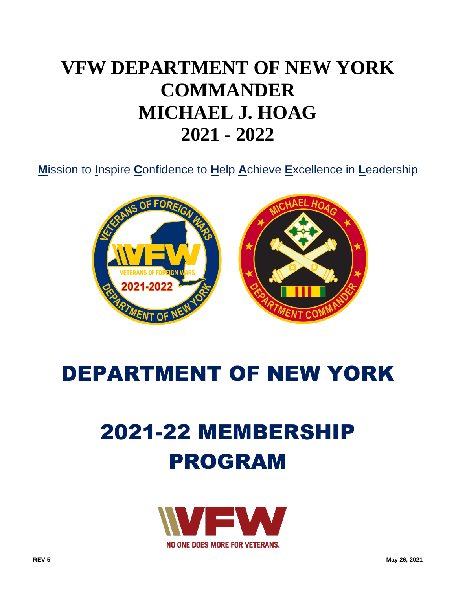## **VFW DEPARTMENT OF NEW YORK COMMANDER MICHAEL J. HOAG 2021 - 2022**

**M**ission to **I**nspire **C**onfidence to **H**elp **A**chieve **E**xcellence in **L**eadership



## DEPARTMENT OF NEW YORK

# 2021-22 MEMBERSHIP PROGRAM

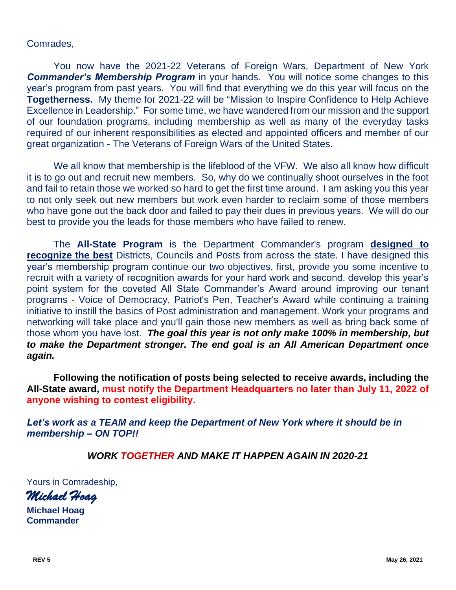### Comrades,

You now have the 2021-22 Veterans of Foreign Wars, Department of New York *Commander's Membership Program* in your hands. You will notice some changes to this year's program from past years. You will find that everything we do this year will focus on the **Togetherness.** My theme for 2021-22 will be "Mission to Inspire Confidence to Help Achieve Excellence in Leadership." For some time, we have wandered from our mission and the support of our foundation programs, including membership as well as many of the everyday tasks required of our inherent responsibilities as elected and appointed officers and member of our great organization - The Veterans of Foreign Wars of the United States.

We all know that membership is the lifeblood of the VFW. We also all know how difficult it is to go out and recruit new members. So, why do we continually shoot ourselves in the foot and fail to retain those we worked so hard to get the first time around. I am asking you this year to not only seek out new members but work even harder to reclaim some of those members who have gone out the back door and failed to pay their dues in previous years. We will do our best to provide you the leads for those members who have failed to renew.

The **All-State Program** is the Department Commander's program **designed to recognize the best** Districts, Councils and Posts from across the state. I have designed this year's membership program continue our two objectives, first, provide you some incentive to recruit with a variety of recognition awards for your hard work and second, develop this year's point system for the coveted All State Commander's Award around improving our tenant programs - Voice of Democracy, Patriot's Pen, Teacher's Award while continuing a training initiative to instill the basics of Post administration and management. Work your programs and networking will take place and you'll gain those new members as well as bring back some of those whom you have lost. *The goal this year is not only make 100% in membership, but to make the Department stronger. The end goal is an All American Department once again.* 

**Following the notification of posts being selected to receive awards, including the All-State award, must notify the Department Headquarters no later than July 11, 2022 of anyone wishing to contest eligibility.**

*Let's work as a TEAM and keep the Department of New York where it should be in membership – ON TOP!!*

*WORK TOGETHER AND MAKE IT HAPPEN AGAIN IN 2020-21*

Yours in Comradeship,

*Michael Hoag* 

**Michael Hoag Commander**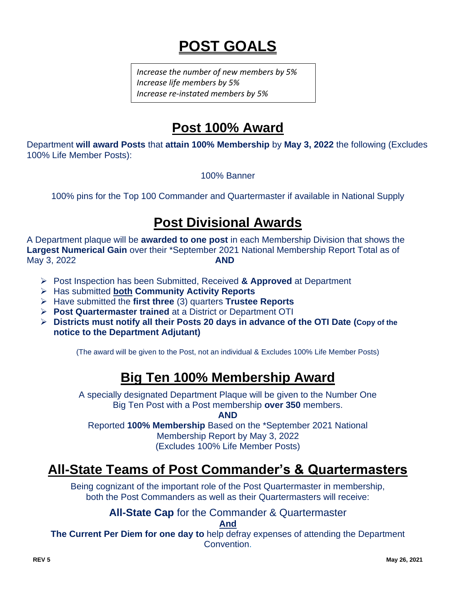## **POST GOALS**

*Increase the number of new members by 5% Increase life members by 5% Increase re-instated members by 5%*

## **Post 100% Award**

Department **will award Posts** that **attain 100% Membership** by **May 3, 2022** the following (Excludes 100% Life Member Posts):

100% Banner

100% pins for the Top 100 Commander and Quartermaster if available in National Supply

## **Post Divisional Awards**

A Department plaque will be **awarded to one post** in each Membership Division that shows the **Largest Numerical Gain** over their \*September 2021 National Membership Report Total as of May 3, 2022 **AND**

- ➢ Post Inspection has been Submitted, Received **& Approved** at Department
- ➢ Has submitted **both Community Activity Reports**
- ➢ Have submitted the **first three** (3) quarters **Trustee Reports**
- ➢ **Post Quartermaster trained** at a District or Department OTI
- ➢ **Districts must notify all their Posts 20 days in advance of the OTI Date (Copy of the notice to the Department Adjutant)**

(The award will be given to the Post, not an individual & Excludes 100% Life Member Posts)

## **Big Ten 100% Membership Award**

A specially designated Department Plaque will be given to the Number One Big Ten Post with a Post membership **over 350** members.

**AND**

Reported **100% Membership** Based on the \*September 2021 National Membership Report by May 3, 2022 (Excludes 100% Life Member Posts)

## **All-State Teams of Post Commander's & Quartermasters**

Being cognizant of the important role of the Post Quartermaster in membership, both the Post Commanders as well as their Quartermasters will receive:

### **All-State Cap** for the Commander & Quartermaster

**And**

**The Current Per Diem for one day to** help defray expenses of attending the Department Convention.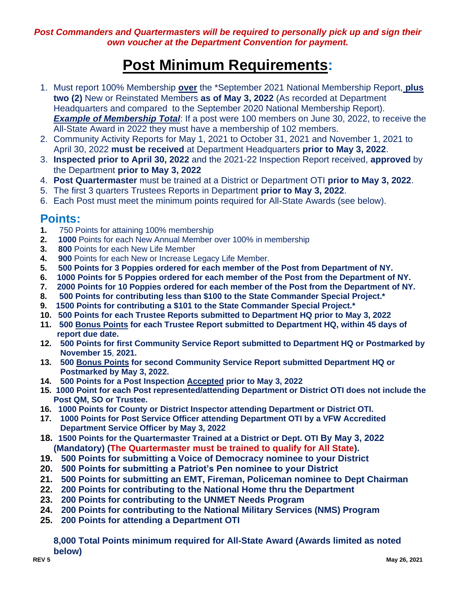*Post Commanders and Quartermasters will be required to personally pick up and sign their own voucher at the Department Convention for payment.* 

## **Post Minimum Requirements:**

- 1. Must report 100% Membership **over** the \*September 2021 National Membership Report, **plus two (2)** New or Reinstated Members **as of May 3, 2022** (As recorded at Department Headquarters and compared to the September 2020 National Membership Report). **Example of Membership Total:** If a post were 100 members on June 30, 2022, to receive the All-State Award in 2022 they must have a membership of 102 members.
- 2. Community Activity Reports for May 1, 2021 to October 31, 2021 and November 1, 2021 to April 30, 2022 **must be received** at Department Headquarters **prior to May 3, 2022**.
- 3. **Inspected prior to April 30, 2022** and the 2021-22 Inspection Report received, **approved** by the Department **prior to May 3, 2022**
- 4. **Post Quartermaster** must be trained at a District or Department OTI **prior to May 3, 2022**.
- 5. The first 3 quarters Trustees Reports in Department **prior to May 3, 2022**.
- 6. Each Post must meet the minimum points required for All-State Awards (see below).

### **Points:**

- **1.** 750 Points for attaining 100% membership
- **2. 1000** Points for each New Annual Member over 100% in membership
- **3. 800** Points for each New Life Member
- **4. 900** Points for each New or Increase Legacy Life Member.
- **5. 500 Points for 3 Poppies ordered for each member of the Post from Department of NY.**
- **6. 1000 Points for 5 Poppies ordered for each member of the Post from the Department of NY.**
- **7. 2000 Points for 10 Poppies ordered for each member of the Post from the Department of NY.**
- **8. 500 Points for contributing less than \$100 to the State Commander Special Project.\***
- **9. 1500 Points for contributing a \$101 to the State Commander Special Project.\***
- **10. 500 Points for each Trustee Reports submitted to Department HQ prior to May 3, 2022**
- **11. 500 Bonus Points for each Trustee Report submitted to Department HQ, within 45 days of report due date.**
- **12. 500 Points for first Community Service Report submitted to Department HQ or Postmarked by November 15**, **2021.**
- **13. 500 Bonus Points for second Community Service Report submitted Department HQ or Postmarked by May 3, 2022.**
- **14. 500 Points for a Post Inspection Accepted prior to May 3, 2022**
- **15. 1000 Point for each Post represented/attending Department or District OTI does not include the Post QM, SO or Trustee.**
- **16. 1000 Points for County or District Inspector attending Department or District OTI.**
- **17. 1000 Points for Post Service Officer attending Department OTI by a VFW Accredited Department Service Officer by May 3, 2022**
- **18. 1500 Points for the Quartermaster Trained at a District or Dept. OTI By May 3, 2022 (Mandatory) (The Quartermaster must be trained to qualify for All State).**
- **19. 500 Points for submitting a Voice of Democracy nominee to your District**
- **20. 500 Points for submitting a Patriot's Pen nominee to your District**
- **21. 500 Points for submitting an EMT, Fireman, Policeman nominee to Dept Chairman**
- **22. 200 Points for contributing to the National Home thru the Department**
- **23. 200 Points for contributing to the UNMET Needs Program**
- **24. 200 Points for contributing to the National Military Services (NMS) Program**
- **25. 200 Points for attending a Department OTI**

**8,000 Total Points minimum required for All-State Award (Awards limited as noted below)**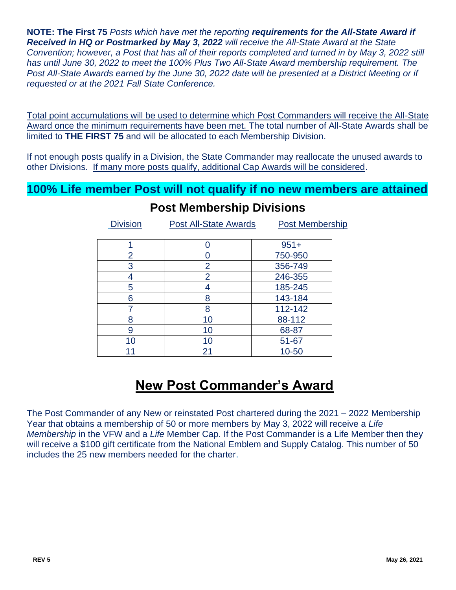**NOTE: The First 75** *Posts which have met the reporting requirements for the All-State Award if Received in HQ or Postmarked by May 3, 2022 will receive the All-State Award at the State Convention; however, a Post that has all of their reports completed and turned in by May 3, 2022 still has until June 30, 2022 to meet the 100% Plus Two All-State Award membership requirement. The Post All-State Awards earned by the June 30, 2022 date will be presented at a District Meeting or if requested or at the 2021 Fall State Conference.*

Total point accumulations will be used to determine which Post Commanders will receive the All-State Award once the minimum requirements have been met. The total number of All-State Awards shall be limited to **THE FIRST 75** and will be allocated to each Membership Division.

If not enough posts qualify in a Division, the State Commander may reallocate the unused awards to other Divisions. If many more posts qualify, additional Cap Awards will be considered.

### **100% Life member Post will not qualify if no new members are attained**

| <b>Division</b> | Post All-State Awards | <b>Post Membership</b> |
|-----------------|-----------------------|------------------------|
| и               |                       | $951+$                 |
| $\overline{2}$  |                       | 750-950                |
| 3               | $\overline{2}$        | 356-749                |
|                 | $\overline{2}$        | 246-355                |
| 5               | 4                     | 185-245                |
| 6               | 8                     | 143-184                |
|                 | 8                     | 112-142                |
| 8               | 10                    | 88-112                 |
| 9               | 10                    | 68-87                  |
| 10              | 10                    | 51-67                  |
|                 | 21                    | 10-50                  |

### **Post Membership Divisions**

## **New Post Commander's Award**

The Post Commander of any New or reinstated Post chartered during the 2021 – 2022 Membership Year that obtains a membership of 50 or more members by May 3, 2022 will receive a *Life Membership* in the VFW and a *Life* Member Cap. If the Post Commander is a Life Member then they will receive a \$100 gift certificate from the National Emblem and Supply Catalog. This number of 50 includes the 25 new members needed for the charter.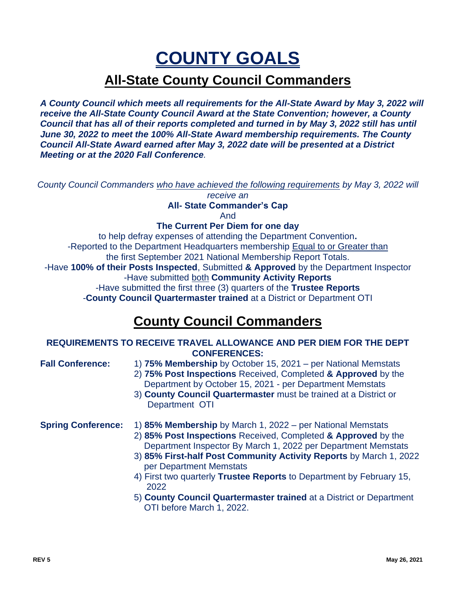## **COUNTY GOALS**

## **All-State County Council Commanders**

*A County Council which meets all requirements for the All-State Award by May 3, 2022 will receive the All-State County Council Award at the State Convention; however, a County Council that has all of their reports completed and turned in by May 3, 2022 still has until June 30, 2022 to meet the 100% All-State Award membership requirements. The County Council All-State Award earned after May 3, 2022 date will be presented at a District Meeting or at the 2020 Fall Conference.*

*County Council Commanders who have achieved the following requirements by May 3, 2022 will receive an*

### **All- State Commander's Cap**

And

### **The Current Per Diem for one day**

to help defray expenses of attending the Department Convention**.** -Reported to the Department Headquarters membership Equal to or Greater than the first September 2021 National Membership Report Totals.

-Have **100% of their Posts Inspected**, Submitted **& Approved** by the Department Inspector -Have submitted both **Community Activity Reports**

-Have submitted the first three (3) quarters of the **Trustee Reports**

-**County Council Quartermaster trained** at a District or Department OTI

## **County Council Commanders**

#### **REQUIREMENTS TO RECEIVE TRAVEL ALLOWANCE AND PER DIEM FOR THE DEPT CONFERENCES:**

- **Fall Conference:** 1) **75% Membership** by October 15, 2021 per National Memstats
	- 2) **75% Post Inspections** Received, Completed **& Approved** by the Department by October 15, 2021 - per Department Memstats
	- 3) **County Council Quartermaster** must be trained at a District or Department OTI
- **Spring Conference:** 1) **85% Membership** by March 1, 2022 per National Memstats
	- 2) **85% Post Inspections** Received, Completed **& Approved** by the Department Inspector By March 1, 2022 per Department Memstats
	- 3) **85% First-half Post Community Activity Reports** by March 1, 2022 per Department Memstats
	- 4) First two quarterly **Trustee Reports** to Department by February 15, 2022
	- 5) **County Council Quartermaster trained** at a District or Department OTI before March 1, 2022.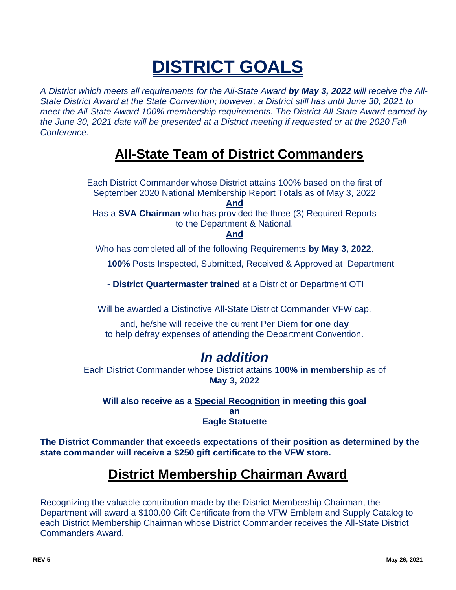## **DISTRICT GOALS**

*A District which meets all requirements for the All-State Award by May 3, 2022 will receive the All-State District Award at the State Convention; however, a District still has until June 30, 2021 to meet the All-State Award 100% membership requirements. The District All-State Award earned by the June 30, 2021 date will be presented at a District meeting if requested or at the 2020 Fall Conference.*

## **All-State Team of District Commanders**

Each District Commander whose District attains 100% based on the first of September 2020 National Membership Report Totals as of May 3, 2022 **And** 

Has a **SVA Chairman** who has provided the three (3) Required Reports to the Department & National.

**And**

Who has completed all of the following Requirements **by May 3, 2022**.

**100%** Posts Inspected, Submitted, Received & Approved at Department

- **District Quartermaster trained** at a District or Department OTI

Will be awarded a Distinctive All-State District Commander VFW cap.

and, he/she will receive the current Per Diem **for one day** to help defray expenses of attending the Department Convention.

### *In addition*

Each District Commander whose District attains **100% in membership** as of **May 3, 2022**

**Will also receive as a Special Recognition in meeting this goal an Eagle Statuette**

**The District Commander that exceeds expectations of their position as determined by the state commander will receive a \$250 gift certificate to the VFW store.**

## **District Membership Chairman Award**

Recognizing the valuable contribution made by the District Membership Chairman, the Department will award a \$100.00 Gift Certificate from the VFW Emblem and Supply Catalog to each District Membership Chairman whose District Commander receives the All-State District Commanders Award.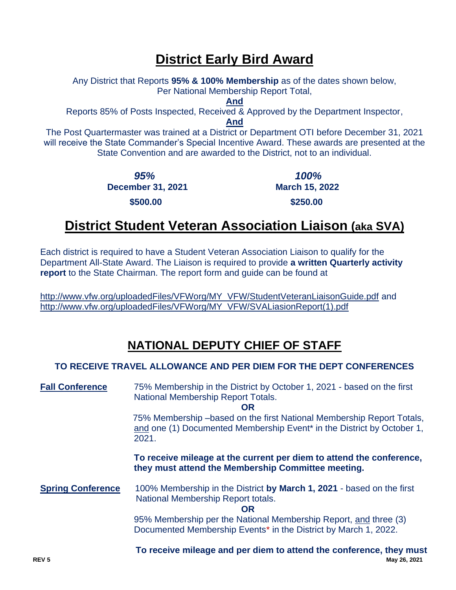## **District Early Bird Award**

Any District that Reports **95% & 100% Membership** as of the dates shown below, Per National Membership Report Total,

**And**

Reports 85% of Posts Inspected, Received & Approved by the Department Inspector,

**And**

The Post Quartermaster was trained at a District or Department OTI before December 31, 2021 will receive the State Commander's Special Incentive Award. These awards are presented at the State Convention and are awarded to the District, not to an individual.

> *95% 100%* **December 31, 2021** March 15, 2022

**\$500.00** \$250.00 \$250.00

### **District Student Veteran Association Liaison (aka SVA)**

Each district is required to have a Student Veteran Association Liaison to qualify for the Department All-State Award. The Liaison is required to provide **a written Quarterly activity report** to the State Chairman. The report form and guide can be found at

[http://www.vfw.org/uploadedFiles/VFWorg/MY\\_VFW/StudentVeteranLiaisonGuide.pdf](http://www.vfw.org/uploadedFiles/VFWorg/MY_VFW/StudentVeteranLiaisonGuide.pdf) and [http://www.vfw.org/uploadedFiles/VFWorg/MY\\_VFW/SVALiasionReport\(1\).pdf](http://www.vfw.org/uploadedFiles/VFWorg/MY_VFW/SVALiasionReport(1).pdf)

### **NATIONAL DEPUTY CHIEF OF STAFF**

#### **TO RECEIVE TRAVEL ALLOWANCE AND PER DIEM FOR THE DEPT CONFERENCES**

**Fall Conference** 75% Membership in the District by October 1, 2021 - based on the first National Membership Report Totals.

**OR**

75% Membership –based on the first National Membership Report Totals, and one (1) Documented Membership Event\* in the District by October 1, 2021.

**To receive mileage at the current per diem to attend the conference, they must attend the Membership Committee meeting.**

**Spring Conference** 100% Membership in the District **by March 1, 2021** - based on the first National Membership Report totals.

**OR**

95% Membership per the National Membership Report, and three (3) Documented Membership Events\* in the District by March 1, 2022.

**REV 5 May 26, 2021 To receive mileage and per diem to attend the conference, they must**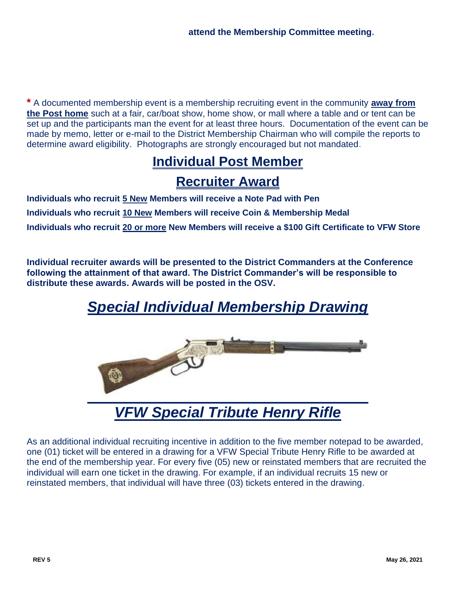**\*** A documented membership event is a membership recruiting event in the community **away from the Post home** such at a fair, car/boat show, home show, or mall where a table and or tent can be set up and the participants man the event for at least three hours. Documentation of the event can be made by memo, letter or e-mail to the District Membership Chairman who will compile the reports to determine award eligibility. Photographs are strongly encouraged but not mandated.

## **Individual Post Member**

### **Recruiter Award**

**Individuals who recruit 5 New Members will receive a Note Pad with Pen Individuals who recruit 10 New Members will receive Coin & Membership Medal Individuals who recruit 20 or more New Members will receive a \$100 Gift Certificate to VFW Store**

**Individual recruiter awards will be presented to the District Commanders at the Conference following the attainment of that award. The District Commander's will be responsible to distribute these awards. Awards will be posted in the OSV.**

## *Special Individual Membership Drawing*



## *VFW Special Tribute Henry Rifle*

As an additional individual recruiting incentive in addition to the five member notepad to be awarded, one (01) ticket will be entered in a drawing for a VFW Special Tribute Henry Rifle to be awarded at the end of the membership year. For every five (05) new or reinstated members that are recruited the individual will earn one ticket in the drawing. For example, if an individual recruits 15 new or reinstated members, that individual will have three (03) tickets entered in the drawing.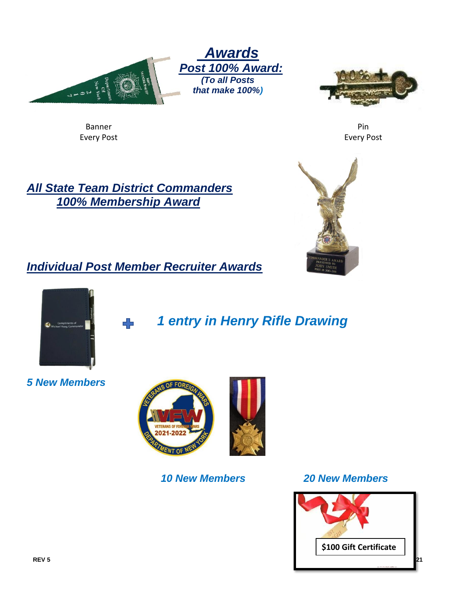Every Post

Banner

*All State Team District Commanders 100% Membership Award*

### *Individual Post Member Recruiter Awards*







*10 New Members 20 New Members*









Pin Every Post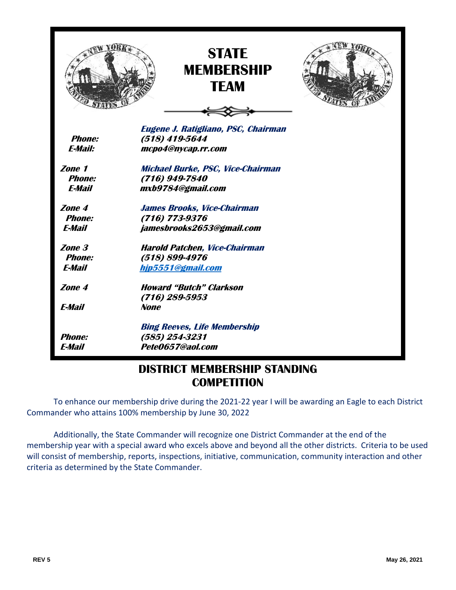|                | <b>STATE</b><br><b>MEMBERSHIP</b><br><b>TEAM</b> |  |
|----------------|--------------------------------------------------|--|
|                | Eugene J. Ratigliano, PSC, Chairman              |  |
| <b>Phone:</b>  | $(518)$ 419-5644                                 |  |
| <b>E-Mail:</b> | mcpo4@nycap.rr.com                               |  |
| <b>Zone 1</b>  | <b>Michael Burke, PSC, Vice-Chairman</b>         |  |
| <b>Phone:</b>  | $(716) 949 - 7840$                               |  |
| <b>E-Mail</b>  | mxb9784@gmail.com                                |  |
| <b>Zone 4</b>  | <b>James Brooks, Vice-Chairman</b>               |  |
| <b>Phone:</b>  | $(716)$ 773-9376                                 |  |
| <b>E-Mail</b>  | jamesbrooks2653@gmail.com                        |  |
| Zone 3         | <b>Harold Patchen, Vice-Chairman</b>             |  |
| <b>Phone:</b>  | $(518) 899 - 4976$                               |  |
| <b>E-Mail</b>  | hjp5551@gmail.com                                |  |
| Zone 4         | <b>Howard "Butch" Clarkson</b>                   |  |
|                | $(716)$ 289-5953                                 |  |
| <b>E-Mail</b>  | None                                             |  |
|                | <b>Bing Reeves, Life Membership</b>              |  |
| <b>Phone:</b>  | (585) 254-3231                                   |  |
| <b>E-Mail</b>  | Pete0657@aol.com                                 |  |

### **DISTRICT MEMBERSHIP STANDING COMPETITION**

To enhance our membership drive during the 2021-22 year I will be awarding an Eagle to each District Commander who attains 100% membership by June 30, 2022

Additionally, the State Commander will recognize one District Commander at the end of the membership year with a special award who excels above and beyond all the other districts. Criteria to be used will consist of membership, reports, inspections, initiative, communication, community interaction and other criteria as determined by the State Commander.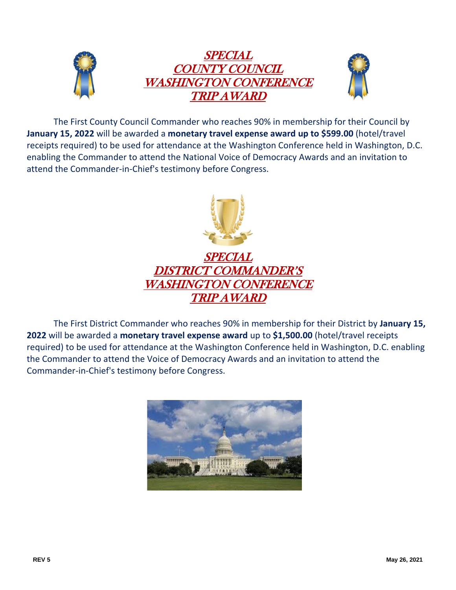





The First County Council Commander who reaches 90% in membership for their Council by **January 15, 2022** will be awarded a **monetary travel expense award up to \$599.00** (hotel/travel receipts required) to be used for attendance at the Washington Conference held in Washington, D.C. enabling the Commander to attend the National Voice of Democracy Awards and an invitation to attend the Commander-in-Chief's testimony before Congress.



### SPECIAL DISTRICT COMMANDER'S WASHINGTON CONFERENCE TRIP AWARD

The First District Commander who reaches 90% in membership for their District by **January 15, 2022** will be awarded a **monetary travel expense award** up to **\$1,500.00** (hotel/travel receipts required) to be used for attendance at the Washington Conference held in Washington, D.C. enabling the Commander to attend the Voice of Democracy Awards and an invitation to attend the Commander-in-Chief's testimony before Congress.

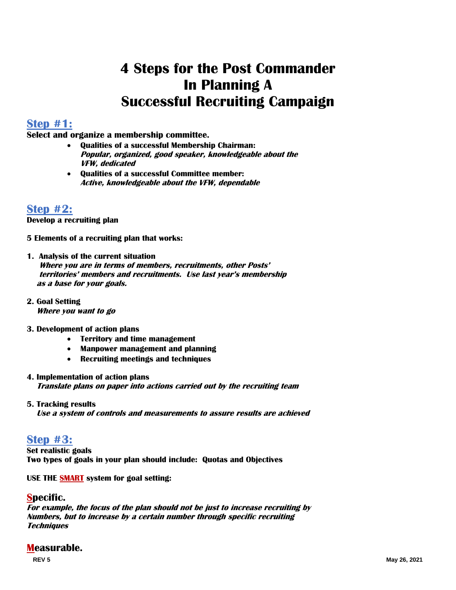## **4 Steps for the Post Commander In Planning A Successful Recruiting Campaign**

### **Step #1:**

**Select and organize a membership committee.**

- **Qualities of a successful Membership Chairman: Popular, organized, good speaker, knowledgeable about the VFW, dedicated**
- **Qualities of a successful Committee member: Active, knowledgeable about the VFW, dependable**

### **Step #2:**

**Develop a recruiting plan**

**5 Elements of a recruiting plan that works:**

- **1. Analysis of the current situation Where you are in terms of members, recruitments, other Posts' territories' members and recruitments. Use last year's membership as a base for your goals.**
- **2. Goal Setting Where you want to go**

#### **3. Development of action plans**

- **Territory and time management**
- **Manpower management and planning**
- **Recruiting meetings and techniques**
- **4. Implementation of action plans Translate plans on paper into actions carried out by the recruiting team**
- **5. Tracking results**

 **Use a system of controls and measurements to assure results are achieved**

**Step #3: Set realistic goals Two types of goals in your plan should include: Quotas and Objectives**

**USE THE SMART system for goal setting:**

### **Specific.**

**For example, the focus of the plan should not be just to increase recruiting by Numbers, but to increase by a certain number through specific recruiting Techniques**

#### **Measurable.**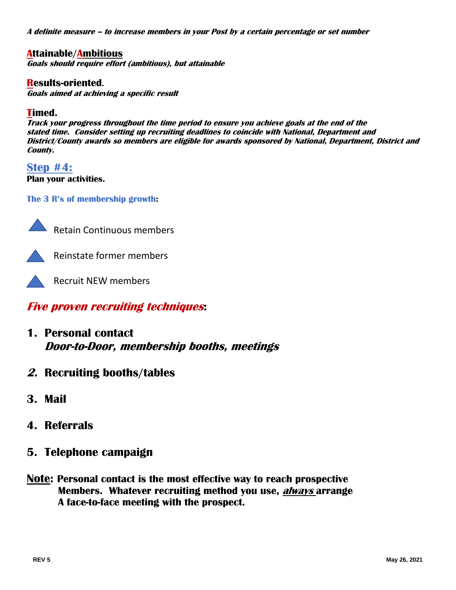**A definite measure – to increase members in your Post by a certain percentage or set number**

**Attainable/Ambitious Goals should require effort (ambitious), but attainable**

**Results-oriented. Goals aimed at achieving a specific result**

### **Timed.**

**Track your progress throughout the time period to ensure you achieve goals at the end of the stated time. Consider setting up recruiting deadlines to coincide with National, Department and District/County awards so members are eligible for awards sponsored by National, Department, District and County.**

**Step #4: Plan your activities.**

**The 3 R's of membership growth:**



Retain Continuous members



Reinstate former members



Recruit NEW members

### **Five proven recruiting techniques:**

- **1. Personal contact Door-to-Door, membership booths, meetings**
- **2. Recruiting booths/tables**
- **3. Mail**
- **4. Referrals**
- **5. Telephone campaign**
- **Note: Personal contact is the most effective way to reach prospective Members. Whatever recruiting method you use, always arrange A face-to-face meeting with the prospect.**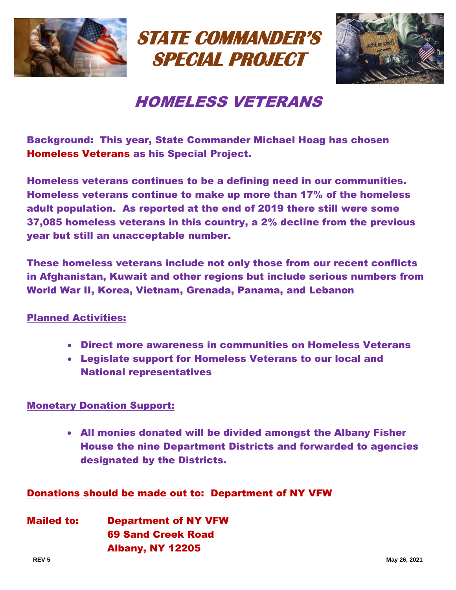





## HOMELESS VETERANS

Background: This year, State Commander Michael Hoag has chosen Homeless Veterans as his Special Project.

Homeless veterans continues to be a defining need in our communities. Homeless veterans continue to make up more than 17% of the homeless adult population. As reported at the end of 2019 there still were some 37,085 homeless veterans in this country, a 2% decline from the previous year but still an unacceptable number.

These homeless veterans include not only those from our recent conflicts in Afghanistan, Kuwait and other regions but include serious numbers from World War II, Korea, Vietnam, Grenada, Panama, and Lebanon

### Planned Activities:

- Direct more awareness in communities on Homeless Veterans
- Legislate support for Homeless Veterans to our local and National representatives

### Monetary Donation Support:

• All monies donated will be divided amongst the Albany Fisher House the nine Department Districts and forwarded to agencies designated by the Districts.

### Donations should be made out to: Department of NY VFW

| <b>Mailed to:</b> | <b>Department of NY VFW</b> |
|-------------------|-----------------------------|
|                   | <b>69 Sand Creek Road</b>   |
|                   | <b>Albany, NY 12205</b>     |